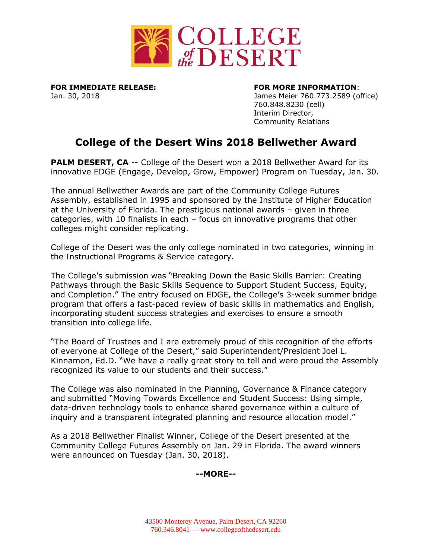

**FOR IMMEDIATE RELEASE: FOR MORE INFORMATION**:

Jan. 30, 2018 James Meier 760.773.2589 (office) 760.848.8230 (cell) Interim Director, Community Relations

## **College of the Desert Wins 2018 Bellwether Award**

**PALM DESERT, CA** -- College of the Desert won a 2018 Bellwether Award for its innovative EDGE (Engage, Develop, Grow, Empower) Program on Tuesday, Jan. 30.

The annual Bellwether Awards are part of the Community College Futures Assembly, established in 1995 and sponsored by the Institute of Higher Education at the University of Florida. The prestigious national awards – given in three categories, with 10 finalists in each – focus on innovative programs that other colleges might consider replicating.

College of the Desert was the only college nominated in two categories, winning in the Instructional Programs & Service category.

The College's submission was "Breaking Down the Basic Skills Barrier: Creating Pathways through the Basic Skills Sequence to Support Student Success, Equity, and Completion." The entry focused on EDGE, the College's 3-week summer bridge program that offers a fast-paced review of basic skills in mathematics and English, incorporating student success strategies and exercises to ensure a smooth transition into college life.

"The Board of Trustees and I are extremely proud of this recognition of the efforts of everyone at College of the Desert," said Superintendent/President Joel L. Kinnamon, Ed.D. "We have a really great story to tell and were proud the Assembly recognized its value to our students and their success."

The College was also nominated in the Planning, Governance & Finance category and submitted "Moving Towards Excellence and Student Success: Using simple, data-driven technology tools to enhance shared governance within a culture of inquiry and a transparent integrated planning and resource allocation model."

As a 2018 Bellwether Finalist Winner, College of the Desert presented at the Community College Futures Assembly on Jan. 29 in Florida. The award winners were announced on Tuesday (Jan. 30, 2018).

## **--MORE--**